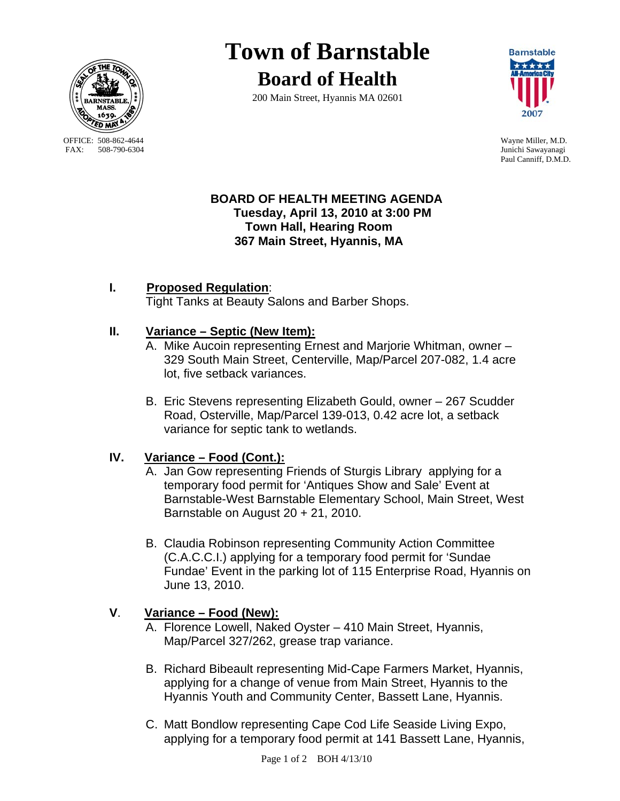

OFFICE: 508-862-4644 Wayne Miller, M.D.<br>
FAX: 508-790-6304 Junichi Sawavanagi

# **Town of Barnstable Board of Health**

200 Main Street, Hyannis MA 02601



Junichi Sawayanagi Paul Canniff, D.M.D.

#### **BOARD OF HEALTH MEETING AGENDA Tuesday, April 13, 2010 at 3:00 PM Town Hall, Hearing Room 367 Main Street, Hyannis, MA**

# **I. Proposed Regulation**:

Tight Tanks at Beauty Salons and Barber Shops.

#### **II. Variance – Septic (New Item):**

- A. Mike Aucoin representing Ernest and Marjorie Whitman, owner 329 South Main Street, Centerville, Map/Parcel 207-082, 1.4 acre lot, five setback variances.
- B. Eric Stevens representing Elizabeth Gould, owner 267 Scudder Road, Osterville, Map/Parcel 139-013, 0.42 acre lot, a setback variance for septic tank to wetlands.

## **IV. Variance – Food (Cont.):**

- A. Jan Gow representing Friends of Sturgis Library applying for a temporary food permit for 'Antiques Show and Sale' Event at Barnstable-West Barnstable Elementary School, Main Street, West Barnstable on August 20 + 21, 2010.
- B. Claudia Robinson representing Community Action Committee (C.A.C.C.I.) applying for a temporary food permit for 'Sundae Fundae' Event in the parking lot of 115 Enterprise Road, Hyannis on June 13, 2010.

## **V**. **Variance – Food (New):**

- A. Florence Lowell, Naked Oyster 410 Main Street, Hyannis, Map/Parcel 327/262, grease trap variance.
- B. Richard Bibeault representing Mid-Cape Farmers Market, Hyannis, applying for a change of venue from Main Street, Hyannis to the Hyannis Youth and Community Center, Bassett Lane, Hyannis.
- C. Matt Bondlow representing Cape Cod Life Seaside Living Expo, applying for a temporary food permit at 141 Bassett Lane, Hyannis,